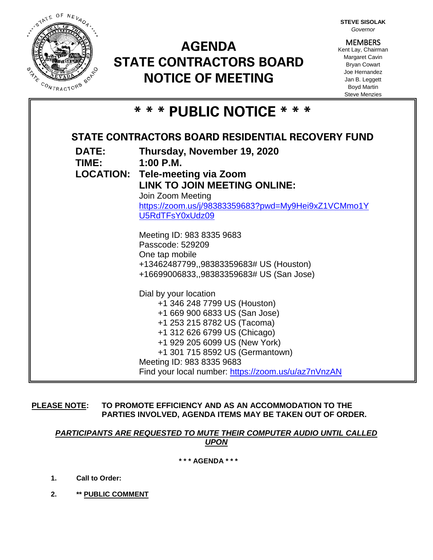

# **AGENDA STATE CONTRACTORS BOARD NOTICE OF MEETING**

**STEVE SISOLAK** *Governor*

**MEMBERS** Kent Lay, Chairman Margaret Cavin Bryan Cowart Joe Hernandez Jan B. Leggett Boyd Martin Steve Menzies

|  |  |  |  | * * * PUBLIC NOTICE * * * |  |  |  |  |  |  |  |  |
|--|--|--|--|---------------------------|--|--|--|--|--|--|--|--|
|--|--|--|--|---------------------------|--|--|--|--|--|--|--|--|

| <b>DATE:</b> | Thursday, November 19, 2020<br>$1:00$ P.M.<br><b>LOCATION: Tele-meeting via Zoom</b> |  |  |  |  |
|--------------|--------------------------------------------------------------------------------------|--|--|--|--|
| <b>TIME:</b> |                                                                                      |  |  |  |  |
|              |                                                                                      |  |  |  |  |
|              | <b>LINK TO JOIN MEETING ONLINE:</b>                                                  |  |  |  |  |
|              | Join Zoom Meeting                                                                    |  |  |  |  |
|              | https://zoom.us/j/98383359683?pwd=My9Hei9xZ1VCMmo1Y                                  |  |  |  |  |
|              | U5RdTFsY0xUdz09                                                                      |  |  |  |  |
|              | Meeting ID: 983 8335 9683                                                            |  |  |  |  |
|              | Passcode: 529209                                                                     |  |  |  |  |
|              | One tap mobile                                                                       |  |  |  |  |
|              | +13462487799,,98383359683# US (Houston)                                              |  |  |  |  |
|              | +16699006833,,98383359683# US (San Jose)                                             |  |  |  |  |
|              | Dial by your location                                                                |  |  |  |  |
|              | +1 346 248 7799 US (Houston)                                                         |  |  |  |  |
|              | +1 669 900 6833 US (San Jose)                                                        |  |  |  |  |
|              | +1 253 215 8782 US (Tacoma)                                                          |  |  |  |  |
|              | +1 312 626 6799 US (Chicago)                                                         |  |  |  |  |
|              | +1 929 205 6099 US (New York)                                                        |  |  |  |  |
|              | +1 301 715 8592 US (Germantown)                                                      |  |  |  |  |
|              | Meeting ID: 983 8335 9683<br>Find your local number: https://zoom.us/u/az7nVnzAN     |  |  |  |  |

**PLEASE NOTE: TO PROMOTE EFFICIENCY AND AS AN ACCOMMODATION TO THE PARTIES INVOLVED, AGENDA ITEMS MAY BE TAKEN OUT OF ORDER.**

## *PARTICIPANTS ARE REQUESTED TO MUTE THEIR COMPUTER AUDIO UNTIL CALLED UPON*

**\* \* \* AGENDA \* \* \***

- **1. Call to Order:**
- **2. \*\* PUBLIC COMMENT**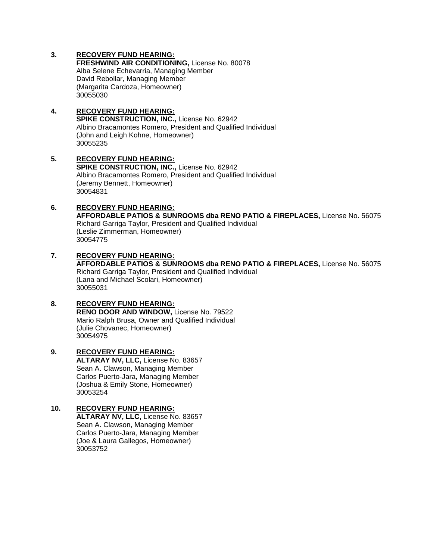#### **3. RECOVERY FUND HEARING:**

**FRESHWIND AIR CONDITIONING,** License No. 80078 Alba Selene Echevarria, Managing Member David Rebollar, Managing Member (Margarita Cardoza, Homeowner) 30055030

#### **4. RECOVERY FUND HEARING: SPIKE CONSTRUCTION, INC.,** License No. 62942 Albino Bracamontes Romero, President and Qualified Individual (John and Leigh Kohne, Homeowner) 30055235

- **5. RECOVERY FUND HEARING: SPIKE CONSTRUCTION, INC.,** License No. 62942 Albino Bracamontes Romero, President and Qualified Individual (Jeremy Bennett, Homeowner) 30054831
- **6. RECOVERY FUND HEARING: AFFORDABLE PATIOS & SUNROOMS dba RENO PATIO & FIREPLACES,** License No. 56075 Richard Garriga Taylor, President and Qualified Individual (Leslie Zimmerman, Homeowner) 30054775
- **7. RECOVERY FUND HEARING: AFFORDABLE PATIOS & SUNROOMS dba RENO PATIO & FIREPLACES,** License No. 56075 Richard Garriga Taylor, President and Qualified Individual (Lana and Michael Scolari, Homeowner) 30055031

## **8. RECOVERY FUND HEARING: RENO DOOR AND WINDOW,** License No. 79522 Mario Ralph Brusa, Owner and Qualified Individual

(Julie Chovanec, Homeowner) 30054975

**9. RECOVERY FUND HEARING: ALTARAY NV, LLC,** License No. 83657 Sean A. Clawson, Managing Member Carlos Puerto-Jara, Managing Member (Joshua & Emily Stone, Homeowner) 30053254

#### **10. RECOVERY FUND HEARING:**

**ALTARAY NV, LLC,** License No. 83657 Sean A. Clawson, Managing Member Carlos Puerto-Jara, Managing Member (Joe & Laura Gallegos, Homeowner) 30053752